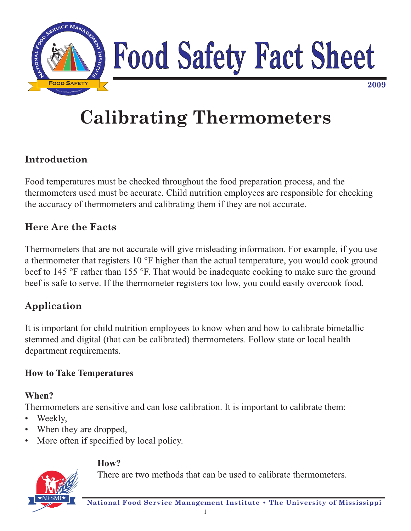

# **Calibrating Thermometers**

# **Introduction**

Food temperatures must be checked throughout the food preparation process, and the thermometers used must be accurate. Child nutrition employees are responsible for checking the accuracy of thermometers and calibrating them if they are not accurate.

## **Here Are the Facts**

Thermometers that are not accurate will give misleading information. For example, if you use a thermometer that registers 10 °F higher than the actual temperature, you would cook ground beef to 145 °F rather than 155 °F. That would be inadequate cooking to make sure the ground beef is safe to serve. If the thermometer registers too low, you could easily overcook food.

## **Application**

It is important for child nutrition employees to know when and how to calibrate bimetallic stemmed and digital (that can be calibrated) thermometers. Follow state or local health department requirements.

### **How to Take Temperatures**

#### **When?**

Thermometers are sensitive and can lose calibration. It is important to calibrate them:

- Weekly,
- When they are dropped,
- More often if specified by local policy.

#### **How?**

There are two methods that can be used to calibrate thermometers.

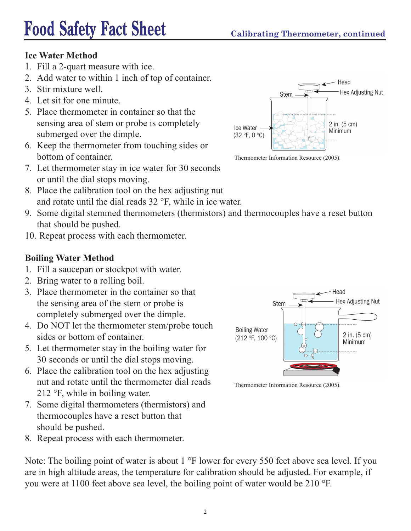### **Ice Water Method**

- 1. Fill a 2-quart measure with ice.
- 2. Add water to within 1 inch of top of container.
- 3. Stir mixture well.
- 4. Let sit for one minute.
- 5. Place thermometer in container so that the sensing area of stem or probe is completely submerged over the dimple.
- 6. Keep the thermometer from touching sides or bottom of container.
- 7. Let thermometer stay in ice water for 30 seconds or until the dial stops moving.
- 8. Place the calibration tool on the hex adjusting nut and rotate until the dial reads 32 °F, while in ice water.
- 9. Some digital stemmed thermometers (thermistors) and thermocouples have a reset button that should be pushed.
- 10. Repeat process with each thermometer.

### **Boiling Water Method**

- 1. Fill a saucepan or stockpot with water.
- 2. Bring water to a rolling boil.
- 3. Place thermometer in the container so that the sensing area of the stem or probe is completely submerged over the dimple.
- 4. Do NOT let the thermometer stem/probe touch sides or bottom of container.
- 5. Let thermometer stay in the boiling water for 30 seconds or until the dial stops moving.
- 6. Place the calibration tool on the hex adjusting nut and rotate until the thermometer dial reads 212 °F, while in boiling water.
- 7. Some digital thermometers (thermistors) and thermocouples have a reset button that should be pushed.
- 8. Repeat process with each thermometer.

Note: The boiling point of water is about 1 °F lower for every 550 feet above sea level. If you are in high altitude areas, the temperature for calibration should be adjusted. For example, if you were at 1100 feet above sea level, the boiling point of water would be 210 °F.



Thermometer Information Resource (2005).



Thermometer Information Resource (2005).